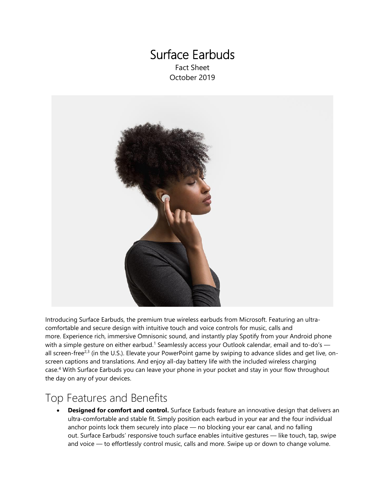### Surface Earbuds Fact Sheet October 2019



Introducing Surface Earbuds, the premium true wireless earbuds from Microsoft. Featuring an ultracomfortable and secure design with intuitive touch and voice controls for music, calls and more. Experience rich, immersive Omnisonic sound, and instantly play Spotify from your Android phone with a simple gesture on either earbud.<sup>1</sup> Seamlessly access your Outlook calendar, email and to-do's all screen-free<sup>2,3</sup> (in the U.S.). Elevate your PowerPoint game by swiping to advance slides and get live, onscreen captions and translations. And enjoy all-day battery life with the included wireless charging case. <sup>4</sup> With Surface Earbuds you can leave your phone in your pocket and stay in your flow throughout the day on any of your devices.

# Top Features and Benefits

• **Designed for comfort and control.** Surface Earbuds feature an innovative design that delivers an ultra-comfortable and stable fit. Simply position each earbud in your ear and the four individual anchor points lock them securely into place — no blocking your ear canal, and no falling out. Surface Earbuds' responsive touch surface enables intuitive gestures — like touch, tap, swipe and voice — to effortlessly control music, calls and more. Swipe up or down to change volume.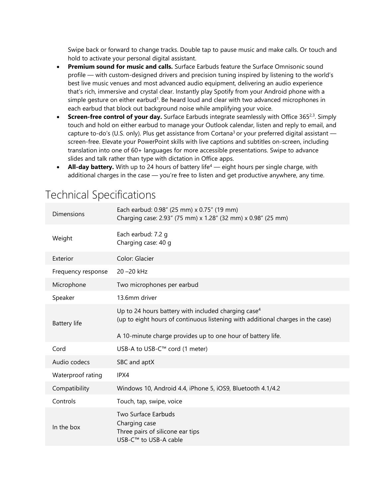Swipe back or forward to change tracks. Double tap to pause music and make calls. Or touch and hold to activate your personal digital assistant.

- **Premium sound for music and calls.** Surface Earbuds feature the Surface Omnisonic sound profile — with custom-designed drivers and precision tuning inspired by listening to the world's best live music venues and most advanced audio equipment, delivering an audio experience that's rich, immersive and crystal clear. Instantly play Spotify from your Android phone with a simple gesture on either earbud<sup>1</sup>. Be heard loud and clear with two advanced microphones in each earbud that block out background noise while amplifying your voice.
- Screen-free control of your day. Surface Earbuds integrate seamlessly with Office 365<sup>2,3</sup>. Simply touch and hold on either earbud to manage your Outlook calendar, listen and reply to email, and capture to-do's (U.S. only). Plus get assistance from Cortana<sup>3</sup> or your preferred digital assistant  $$ screen-free. Elevate your PowerPoint skills with live captions and subtitles on-screen, including translation into one of 60+ languages for more accessible presentations. Swipe to advance slides and talk rather than type with dictation in Office apps.
- **All-day battery.** With up to 24 hours of battery life<sup>4</sup> eight hours per single charge, with additional charges in the case — you're free to listen and get productive anywhere, any time.

| <b>Dimensions</b>   | Each earbud: 0.98" (25 mm) x 0.75" (19 mm)<br>Charging case: 2.93" (75 mm) x 1.28" (32 mm) x 0.98" (25 mm)                                |
|---------------------|-------------------------------------------------------------------------------------------------------------------------------------------|
| Weight              | Each earbud: 7.2 q<br>Charging case: 40 g                                                                                                 |
| Exterior            | Color: Glacier                                                                                                                            |
| Frequency response  | 20 - 20 kHz                                                                                                                               |
| Microphone          | Two microphones per earbud                                                                                                                |
| Speaker             | 13.6mm driver                                                                                                                             |
| <b>Battery life</b> | Up to 24 hours battery with included charging case $4$<br>(up to eight hours of continuous listening with additional charges in the case) |
|                     | A 10-minute charge provides up to one hour of battery life.                                                                               |
| Cord                | USB-A to USB-C™ cord (1 meter)                                                                                                            |
| Audio codecs        | SBC and aptX                                                                                                                              |
| Waterproof rating   | IPX4                                                                                                                                      |
| Compatibility       | Windows 10, Android 4.4, iPhone 5, iOS9, Bluetooth 4.1/4.2                                                                                |
| Controls            | Touch, tap, swipe, voice                                                                                                                  |
| In the box          | Two Surface Earbuds<br>Charging case<br>Three pairs of silicone ear tips<br>USB-C™ to USB-A cable                                         |

# Technical Specifications